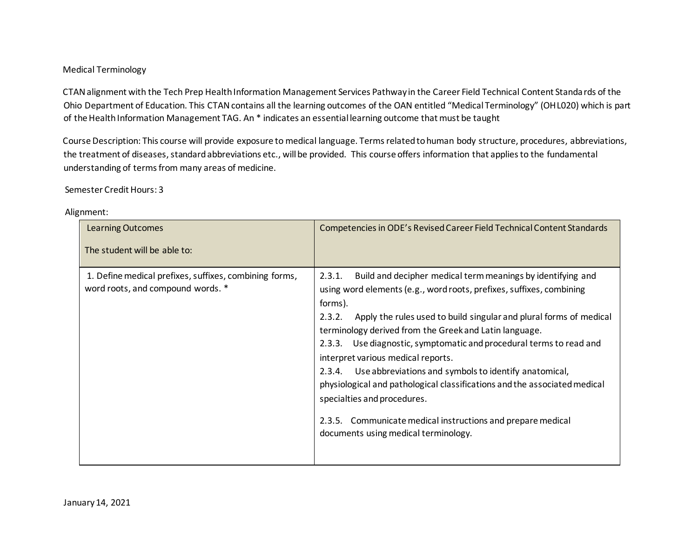## Medical Terminology

CTAN alignment with the Tech Prep Health Information Management Services Pathway in the Career Field Technical Content Standards of the Ohio Department of Education. This CTAN contains all the learning outcomes of the OAN entitled "Medical Terminology" (OHL020) which is part of the Health Information Management TAG. An \* indicates an essential learning outcome that must be taught

Course Description: This course will provide exposure to medical language. Terms related to human body structure, procedures, abbreviations, the treatment of diseases, standard abbreviations etc., will be provided. This course offers information that applies to the fundamental understanding of terms from many areas of medicine.

Semester Credit Hours: 3

Alignment:

| <b>Learning Outcomes</b><br>The student will be able to:                                    | Competencies in ODE's Revised Career Field Technical Content Standards                                                                                                                                                                                                                                                                                                                                                                                                                                                                                                                                                                                                                                |
|---------------------------------------------------------------------------------------------|-------------------------------------------------------------------------------------------------------------------------------------------------------------------------------------------------------------------------------------------------------------------------------------------------------------------------------------------------------------------------------------------------------------------------------------------------------------------------------------------------------------------------------------------------------------------------------------------------------------------------------------------------------------------------------------------------------|
| 1. Define medical prefixes, suffixes, combining forms,<br>word roots, and compound words. * | Build and decipher medical term meanings by identifying and<br>2.3.1.<br>using word elements (e.g., word roots, prefixes, suffixes, combining<br>forms).<br>Apply the rules used to build singular and plural forms of medical<br>2.3.2.<br>terminology derived from the Greek and Latin language.<br>Use diagnostic, symptomatic and procedural terms to read and<br>2.3.3.<br>interpret various medical reports.<br>2.3.4. Use abbreviations and symbols to identify anatomical,<br>physiological and pathological classifications and the associated medical<br>specialties and procedures.<br>2.3.5. Communicate medical instructions and prepare medical<br>documents using medical terminology. |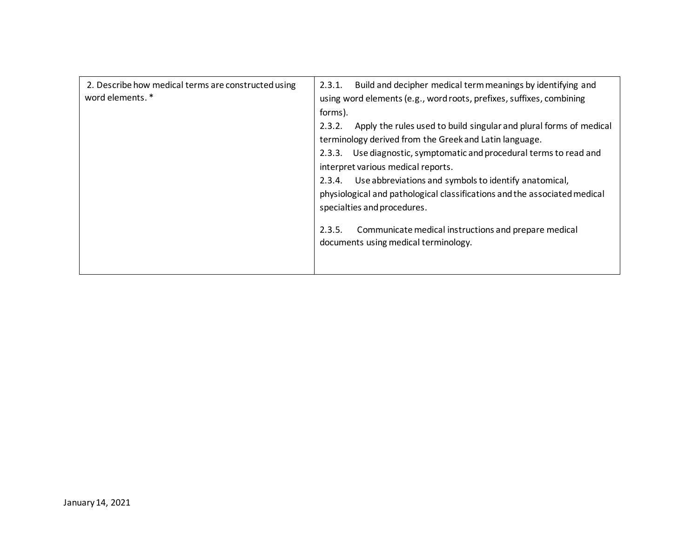| 2. Describe how medical terms are constructed using<br>word elements. * | Build and decipher medical term meanings by identifying and<br>2.3.1.<br>using word elements (e.g., word roots, prefixes, suffixes, combining<br>forms).<br>Apply the rules used to build singular and plural forms of medical<br>2.3.2.<br>terminology derived from the Greek and Latin language.<br>Use diagnostic, symptomatic and procedural terms to read and<br>2.3.3.<br>interpret various medical reports.<br>2.3.4. Use abbreviations and symbols to identify anatomical,<br>physiological and pathological classifications and the associated medical<br>specialties and procedures.<br>Communicate medical instructions and prepare medical<br>2.3.5.<br>documents using medical terminology. |
|-------------------------------------------------------------------------|----------------------------------------------------------------------------------------------------------------------------------------------------------------------------------------------------------------------------------------------------------------------------------------------------------------------------------------------------------------------------------------------------------------------------------------------------------------------------------------------------------------------------------------------------------------------------------------------------------------------------------------------------------------------------------------------------------|
|                                                                         |                                                                                                                                                                                                                                                                                                                                                                                                                                                                                                                                                                                                                                                                                                          |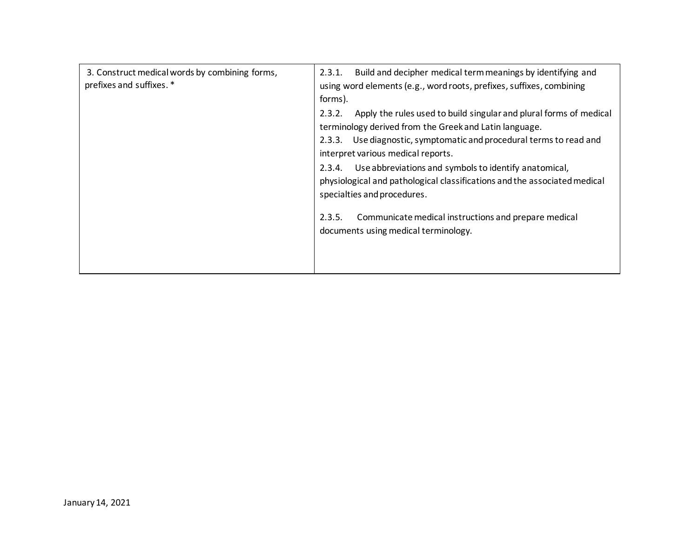| 3. Construct medical words by combining forms,<br>2.3.1.<br>prefixes and suffixes. *<br>forms).<br>2.3.2.<br>2.3.3.<br>2.3.5. | Build and decipher medical term meanings by identifying and<br>using word elements (e.g., word roots, prefixes, suffixes, combining<br>Apply the rules used to build singular and plural forms of medical<br>terminology derived from the Greek and Latin language.<br>Use diagnostic, symptomatic and procedural terms to read and<br>interpret various medical reports.<br>2.3.4. Use abbreviations and symbols to identify anatomical,<br>physiological and pathological classifications and the associated medical<br>specialties and procedures.<br>Communicate medical instructions and prepare medical<br>documents using medical terminology. |
|-------------------------------------------------------------------------------------------------------------------------------|-------------------------------------------------------------------------------------------------------------------------------------------------------------------------------------------------------------------------------------------------------------------------------------------------------------------------------------------------------------------------------------------------------------------------------------------------------------------------------------------------------------------------------------------------------------------------------------------------------------------------------------------------------|
|-------------------------------------------------------------------------------------------------------------------------------|-------------------------------------------------------------------------------------------------------------------------------------------------------------------------------------------------------------------------------------------------------------------------------------------------------------------------------------------------------------------------------------------------------------------------------------------------------------------------------------------------------------------------------------------------------------------------------------------------------------------------------------------------------|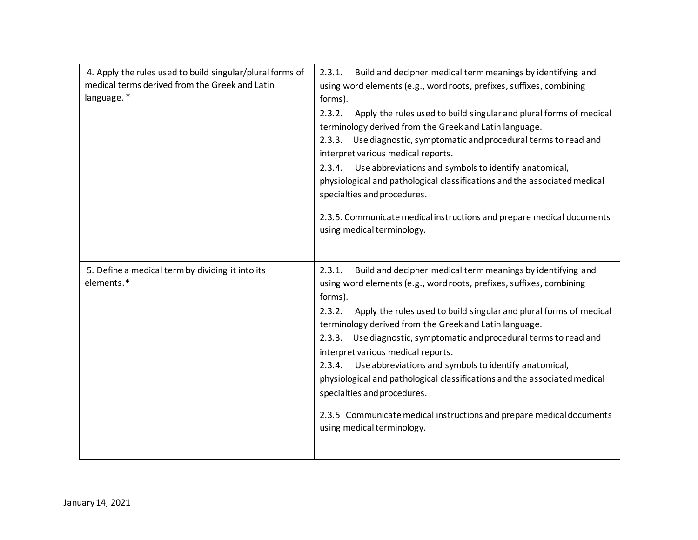| 4. Apply the rules used to build singular/plural forms of<br>medical terms derived from the Greek and Latin<br>language.* | Build and decipher medical term meanings by identifying and<br>2.3.1.<br>using word elements (e.g., word roots, prefixes, suffixes, combining<br>forms).<br>Apply the rules used to build singular and plural forms of medical<br>2.3.2.<br>terminology derived from the Greek and Latin language.<br>2.3.3. Use diagnostic, symptomatic and procedural terms to read and<br>interpret various medical reports.<br>2.3.4. Use abbreviations and symbols to identify anatomical,<br>physiological and pathological classifications and the associated medical<br>specialties and procedures.<br>2.3.5. Communicate medical instructions and prepare medical documents<br>using medical terminology. |
|---------------------------------------------------------------------------------------------------------------------------|----------------------------------------------------------------------------------------------------------------------------------------------------------------------------------------------------------------------------------------------------------------------------------------------------------------------------------------------------------------------------------------------------------------------------------------------------------------------------------------------------------------------------------------------------------------------------------------------------------------------------------------------------------------------------------------------------|
| 5. Define a medical term by dividing it into its<br>elements.*                                                            | Build and decipher medical term meanings by identifying and<br>2.3.1.<br>using word elements (e.g., word roots, prefixes, suffixes, combining<br>forms).<br>Apply the rules used to build singular and plural forms of medical<br>2.3.2.<br>terminology derived from the Greek and Latin language.<br>2.3.3. Use diagnostic, symptomatic and procedural terms to read and<br>interpret various medical reports.<br>2.3.4. Use abbreviations and symbols to identify anatomical,<br>physiological and pathological classifications and the associated medical<br>specialties and procedures.<br>2.3.5 Communicate medical instructions and prepare medical documents<br>using medical terminology.  |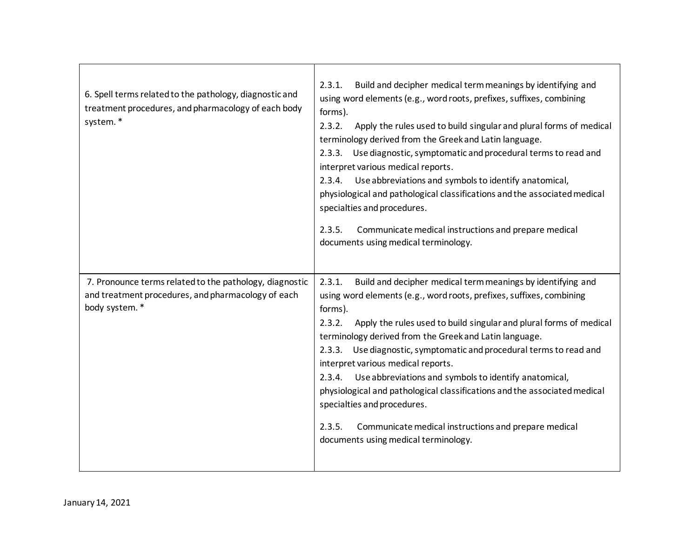| 6. Spell terms related to the pathology, diagnostic and<br>treatment procedures, and pharmacology of each body<br>system.*      | Build and decipher medical term meanings by identifying and<br>2.3.1.<br>using word elements (e.g., word roots, prefixes, suffixes, combining<br>forms).<br>2.3.2.<br>Apply the rules used to build singular and plural forms of medical<br>terminology derived from the Greek and Latin language.<br>2.3.3. Use diagnostic, symptomatic and procedural terms to read and<br>interpret various medical reports.<br>2.3.4. Use abbreviations and symbols to identify anatomical,<br>physiological and pathological classifications and the associated medical<br>specialties and procedures.<br>2.3.5.<br>Communicate medical instructions and prepare medical<br>documents using medical terminology. |
|---------------------------------------------------------------------------------------------------------------------------------|-------------------------------------------------------------------------------------------------------------------------------------------------------------------------------------------------------------------------------------------------------------------------------------------------------------------------------------------------------------------------------------------------------------------------------------------------------------------------------------------------------------------------------------------------------------------------------------------------------------------------------------------------------------------------------------------------------|
| 7. Pronounce terms related to the pathology, diagnostic<br>and treatment procedures, and pharmacology of each<br>body system. * | 2.3.1.<br>Build and decipher medical term meanings by identifying and<br>using word elements (e.g., word roots, prefixes, suffixes, combining<br>forms).<br>Apply the rules used to build singular and plural forms of medical<br>2.3.2.<br>terminology derived from the Greek and Latin language.<br>2.3.3. Use diagnostic, symptomatic and procedural terms to read and<br>interpret various medical reports.<br>2.3.4. Use abbreviations and symbols to identify anatomical,<br>physiological and pathological classifications and the associated medical<br>specialties and procedures.<br>2.3.5.<br>Communicate medical instructions and prepare medical<br>documents using medical terminology. |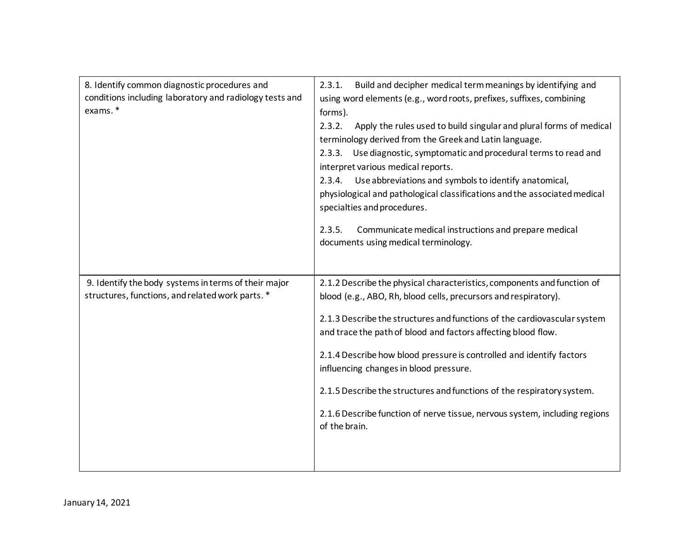| 8. Identify common diagnostic procedures and<br>conditions including laboratory and radiology tests and<br>exams.* | Build and decipher medical term meanings by identifying and<br>2.3.1.<br>using word elements (e.g., word roots, prefixes, suffixes, combining<br>forms).<br>Apply the rules used to build singular and plural forms of medical<br>2.3.2.<br>terminology derived from the Greek and Latin language.<br>2.3.3. Use diagnostic, symptomatic and procedural terms to read and<br>interpret various medical reports.<br>2.3.4. Use abbreviations and symbols to identify anatomical,<br>physiological and pathological classifications and the associated medical<br>specialties and procedures.<br>2.3.5.<br>Communicate medical instructions and prepare medical<br>documents using medical terminology. |
|--------------------------------------------------------------------------------------------------------------------|-------------------------------------------------------------------------------------------------------------------------------------------------------------------------------------------------------------------------------------------------------------------------------------------------------------------------------------------------------------------------------------------------------------------------------------------------------------------------------------------------------------------------------------------------------------------------------------------------------------------------------------------------------------------------------------------------------|
| 9. Identify the body systems in terms of their major<br>structures, functions, and related work parts. *           | 2.1.2 Describe the physical characteristics, components and function of<br>blood (e.g., ABO, Rh, blood cells, precursors and respiratory).<br>2.1.3 Describe the structures and functions of the cardiovascular system<br>and trace the path of blood and factors affecting blood flow.<br>2.1.4 Describe how blood pressure is controlled and identify factors<br>influencing changes in blood pressure.<br>2.1.5 Describe the structures and functions of the respiratory system.<br>2.1.6 Describe function of nerve tissue, nervous system, including regions<br>of the brain.                                                                                                                    |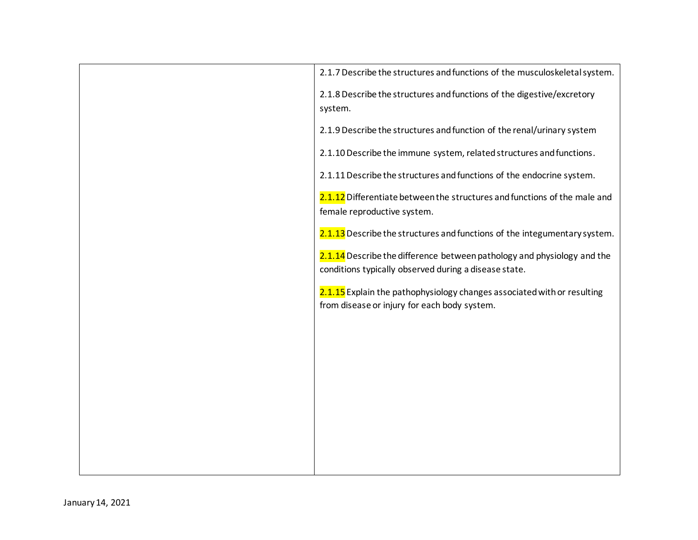| 2.1.7 Describe the structures and functions of the musculoskeletal system.                                                       |
|----------------------------------------------------------------------------------------------------------------------------------|
| 2.1.8 Describe the structures and functions of the digestive/excretory<br>system.                                                |
| 2.1.9 Describe the structures and function of the renal/urinary system                                                           |
| 2.1.10 Describe the immune system, related structures and functions.                                                             |
| 2.1.11 Describe the structures and functions of the endocrine system.                                                            |
| 2.1.12 Differentiate between the structures and functions of the male and<br>female reproductive system.                         |
| 2.1.13 Describe the structures and functions of the integumentary system.                                                        |
| 2.1.14 Describe the difference between pathology and physiology and the<br>conditions typically observed during a disease state. |
| 2.1.15 Explain the pathophysiology changes associated with or resulting<br>from disease or injury for each body system.          |
|                                                                                                                                  |
|                                                                                                                                  |
|                                                                                                                                  |
|                                                                                                                                  |
|                                                                                                                                  |
|                                                                                                                                  |
|                                                                                                                                  |
|                                                                                                                                  |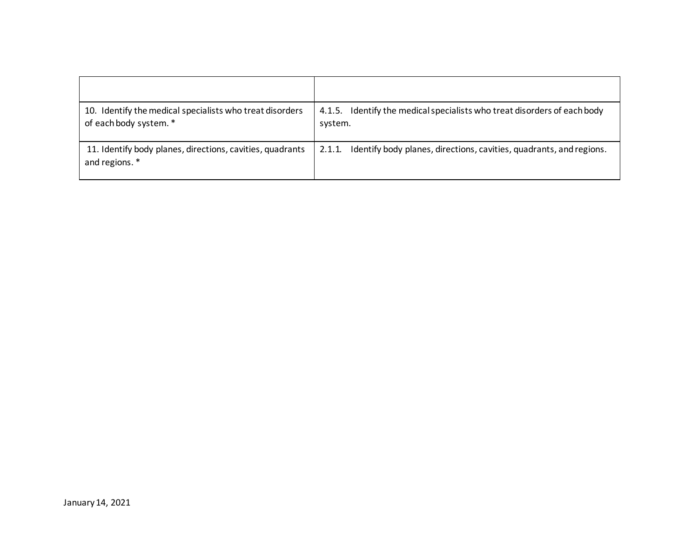| 10. Identify the medical specialists who treat disorders<br>of each body system. * | 4.1.5. Identify the medical specialists who treat disorders of each body<br>system. |
|------------------------------------------------------------------------------------|-------------------------------------------------------------------------------------|
| 11. Identify body planes, directions, cavities, quadrants<br>and regions. *        | 2.1.1. Identify body planes, directions, cavities, quadrants, and regions.          |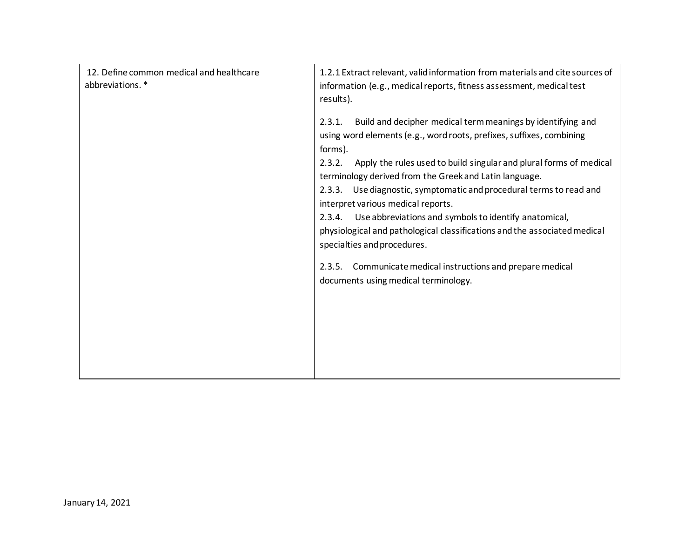| 12. Define common medical and healthcare<br>abbreviations.* | 1.2.1 Extract relevant, valid information from materials and cite sources of<br>information (e.g., medical reports, fitness assessment, medical test<br>results).                                                                                                                                                                                                                                                                                                                                                                                                                           |
|-------------------------------------------------------------|---------------------------------------------------------------------------------------------------------------------------------------------------------------------------------------------------------------------------------------------------------------------------------------------------------------------------------------------------------------------------------------------------------------------------------------------------------------------------------------------------------------------------------------------------------------------------------------------|
|                                                             | Build and decipher medical term meanings by identifying and<br>2.3.1.<br>using word elements (e.g., word roots, prefixes, suffixes, combining<br>forms).<br>Apply the rules used to build singular and plural forms of medical<br>2.3.2.<br>terminology derived from the Greek and Latin language.<br>2.3.3. Use diagnostic, symptomatic and procedural terms to read and<br>interpret various medical reports.<br>2.3.4. Use abbreviations and symbols to identify anatomical,<br>physiological and pathological classifications and the associated medical<br>specialties and procedures. |
|                                                             | Communicate medical instructions and prepare medical<br>2.3.5.<br>documents using medical terminology.                                                                                                                                                                                                                                                                                                                                                                                                                                                                                      |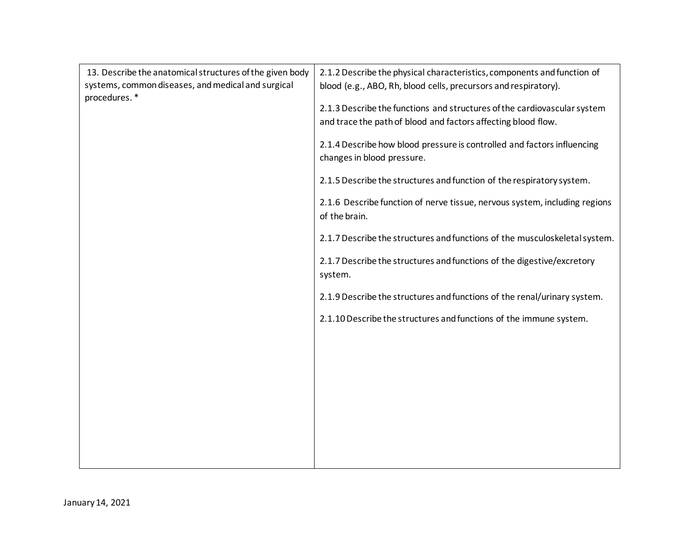| 13. Describe the anatomical structures of the given body<br>systems, common diseases, and medical and surgical<br>procedures.* | 2.1.2 Describe the physical characteristics, components and function of<br>blood (e.g., ABO, Rh, blood cells, precursors and respiratory). |
|--------------------------------------------------------------------------------------------------------------------------------|--------------------------------------------------------------------------------------------------------------------------------------------|
|                                                                                                                                | 2.1.3 Describe the functions and structures of the cardiovascular system<br>and trace the path of blood and factors affecting blood flow.  |
|                                                                                                                                | 2.1.4 Describe how blood pressure is controlled and factors influencing<br>changes in blood pressure.                                      |
|                                                                                                                                | 2.1.5 Describe the structures and function of the respiratory system.                                                                      |
|                                                                                                                                | 2.1.6 Describe function of nerve tissue, nervous system, including regions<br>of the brain.                                                |
|                                                                                                                                | 2.1.7 Describe the structures and functions of the musculoskeletal system.                                                                 |
|                                                                                                                                | 2.1.7 Describe the structures and functions of the digestive/excretory<br>system.                                                          |
|                                                                                                                                | 2.1.9 Describe the structures and functions of the renal/urinary system.                                                                   |
|                                                                                                                                | 2.1.10 Describe the structures and functions of the immune system.                                                                         |
|                                                                                                                                |                                                                                                                                            |
|                                                                                                                                |                                                                                                                                            |
|                                                                                                                                |                                                                                                                                            |
|                                                                                                                                |                                                                                                                                            |
|                                                                                                                                |                                                                                                                                            |
|                                                                                                                                |                                                                                                                                            |